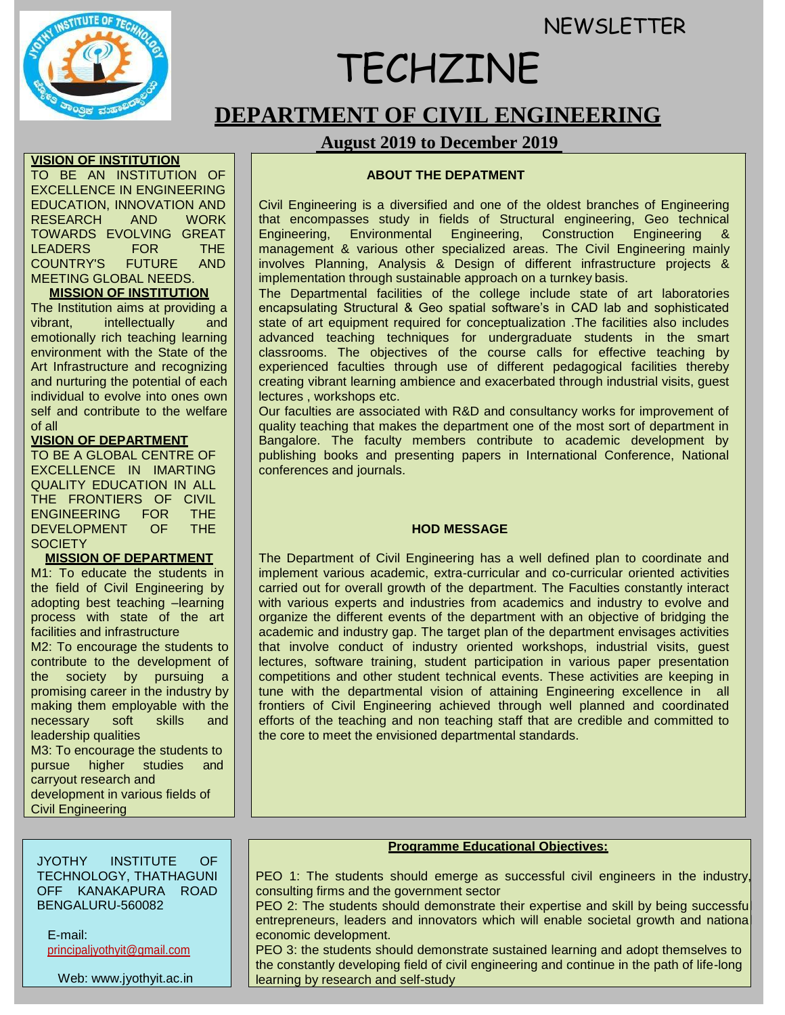**NEWSLETTER** 



# TECHZINE

**DEPARTMENT OF CIVIL ENGINEERING**

# **August 2019 to December 2019**

# **ABOUT THE DEPATMENT**

Civil Engineering is a diversified and one of the oldest branches of Engineering that encompasses study in fields of Structural engineering, Geo technical Engineering, Environmental Engineering, Construction Engineering management & various other specialized areas. The Civil Engineering mainly involves Planning, Analysis & Design of different infrastructure projects & implementation through sustainable approach on a turnkey basis.

The Departmental facilities of the college include state of art laboratories encapsulating Structural & Geo spatial software's in CAD lab and sophisticated state of art equipment required for conceptualization .The facilities also includes advanced teaching techniques for undergraduate students in the smart classrooms. The objectives of the course calls for effective teaching by experienced faculties through use of different pedagogical facilities thereby creating vibrant learning ambience and exacerbated through industrial visits, guest lectures , workshops etc.

Our faculties are associated with R&D and consultancy works for improvement of quality teaching that makes the department one of the most sort of department in Bangalore. The faculty members contribute to academic development by publishing books and presenting papers in International Conference, National conferences and journals.

# **HOD MESSAGE**

The Department of Civil Engineering has a well defined plan to coordinate and implement various academic, extra-curricular and co-curricular oriented activities carried out for overall growth of the department. The Faculties constantly interact with various experts and industries from academics and industry to evolve and organize the different events of the department with an objective of bridging the academic and industry gap. The target plan of the department envisages activities that involve conduct of industry oriented workshops, industrial visits, guest lectures, software training, student participation in various paper presentation competitions and other student technical events. These activities are keeping in tune with the departmental vision of attaining Engineering excellence in all frontiers of Civil Engineering achieved through well planned and coordinated efforts of the teaching and non teaching staff that are credible and committed to the core to meet the envisioned departmental standards.

#### **Programme Educational Objectives:**

PEO 1: The students should emerge as successful civil engineers in the industry, consulting firms and the government sector

PEO 2: The students should demonstrate their expertise and skill by being successful entrepreneurs, leaders and innovators which will enable societal growth and national<br>economic development.

PEO 3: the students should demonstrate sustained learning and adopt themselves to the constantly developing field of civil engineering and continue in the path of life-long learning by research and self-study

### **VISION OF INSTITUTION**

TO BE AN INSTITUTION OF EXCELLENCE IN ENGINEERING EDUCATION, INNOVATION AND<br>RESEARCH AND WORK RESEARCH AND TOWARDS EVOLVING GREAT<br>LEADERS FOR THE LEADERS FOR THE COUNTRY'S FUTURE AND MEETING GLOBAL NEEDS.

# **MISSION OF INSTITUTION**

The Institution aims at providing a vibrant, intellectually and emotionally rich teaching learning environment with the State of the Art Infrastructure and recognizing and nurturing the potential of each individual to evolve into ones own self and contribute to the welfare of all

# **VISION OF DEPARTMENT**

TO BE A GLOBAL CENTRE OF EXCELLENCE IN IMARTING QUALITY EDUCATION IN ALL THE FRONTIERS OF CIVIL ENGINEERING FOR THE<br>DEVELOPMENT OF THE DEVELOPMENT OF **SOCIETY** 

# **MISSION OF DEPARTMENT**

M1: To educate the students in the field of Civil Engineering by adopting best teaching –learning process with state of the art facilities and infrastructure

M2: To encourage the students to contribute to the development of the society by pursuing a promising career in the industry by making them employable with the necessary soft skills and leadership qualities M3: To encourage the students to

pursue higher studies and carryout research and development in various fields of Civil Engineering

JYOTHY INSTITUTE OF TECHNOLOGY, THATHAGUNI OFF KANAKAPURA ROAD BENGALURU-560082

E-mail: [principaljyothyit@gmail.com](mailto:principaljyothyit@gmail.com)

Web: [www.jyothyit.ac.in](http://www.jyothyit.ac.in/)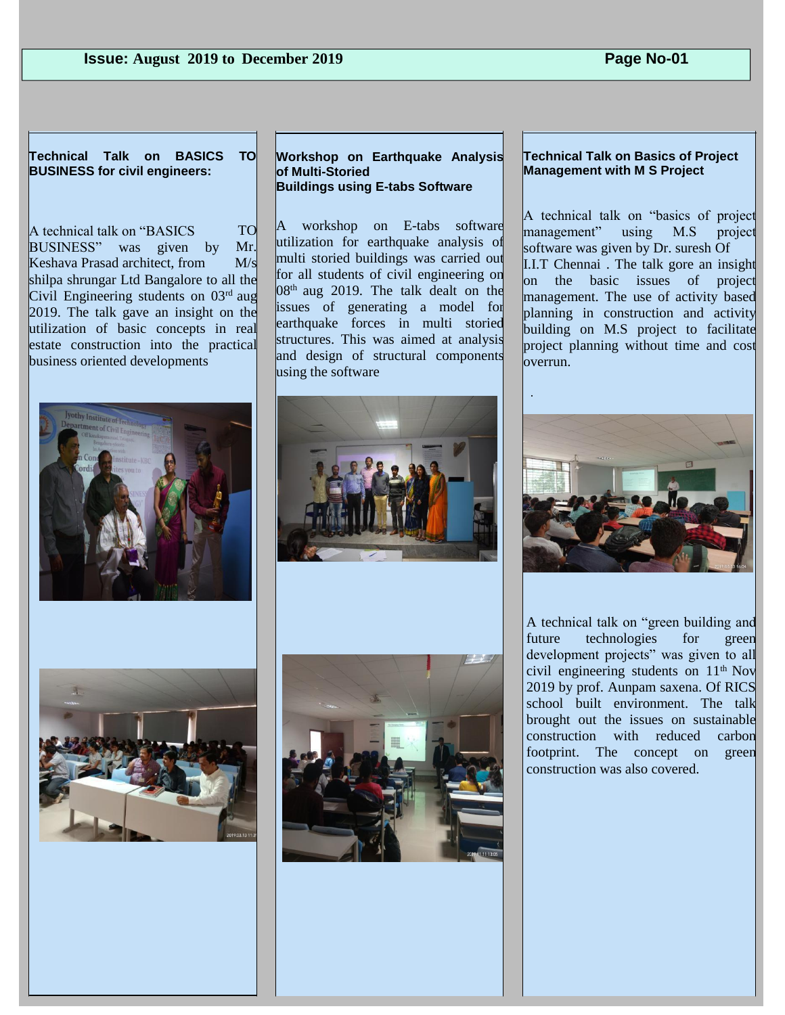**Technical Talk on BASICS TO BUSINESS for civil engineers:**

shilpa shrungar Ltd Bangalore to all the Civil Engineering students on  $03<sup>rd</sup>$  aug 2019. The talk gave an insight on the utilization of basic concepts in real estate construction into the practical business oriented developments TO Mr. Keshava Prasad architect, from M/s A technical talk on "BASICS BUSINESS" was given by





**Workshop on Earthquake Analysis of Multi-Storied Buildings using E-tabs Software**

A workshop on E-tabs software utilization for earthquake analysis of multi storied buildings was carried out for all students of civil engineering on  $08<sup>th</sup>$  aug 2019. The talk dealt on the issues of generating a model for earthquake forces in multi storied structures. This was aimed at analysis and design of structural components using the software





#### **Technical Talk on Basics of Project Management with M S Project**

A technical talk on "basics of project management" using M.S project software was given by Dr. suresh Of I.I.T Chennai . The talk gore an insight on the basic issues of project management. The use of activity based planning in construction and activity building on M.S project to facilitate project planning without time and cost overrun.



A technical talk on "green building and future technologies for green development projects" was given to all civil engineering students on 11th Nov 2019 by prof. Aunpam saxena. Of RICS school built environment. The talk brought out the issues on sustainable construction with reduced carbon footprint. The concept on green construction was also covered.